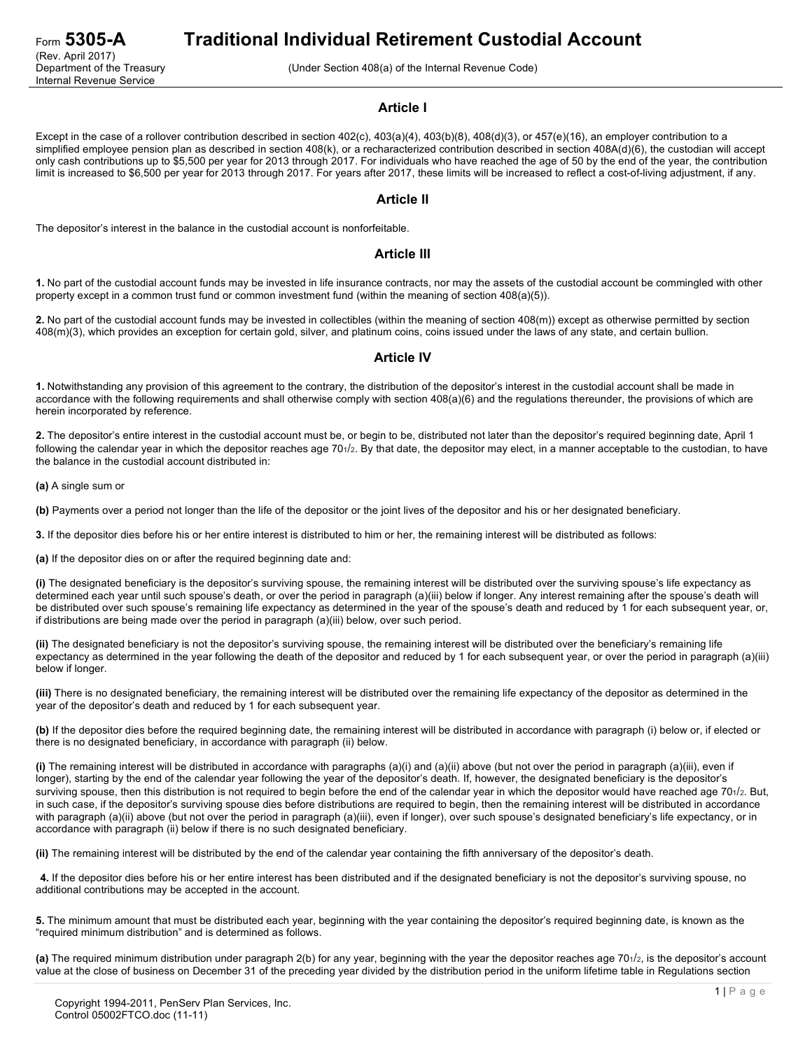# Form **5305-A Traditional Individual Retirement Custodial Account**

(Under Section 408(a) of the Internal Revenue Code)

#### **Article I**

Except in the case of a rollover contribution described in section 402(c), 403(a)(4), 403(b)(8), 408(d)(3), or 457(e)(16), an employer contribution to a simplified employee pension plan as described in section 408(k), or a recharacterized contribution described in section 408A(d)(6), the custodian will accept only cash contributions up to \$5,500 per year for 2013 through 2017. For individuals who have reached the age of 50 by the end of the year, the contribution limit is increased to \$6,500 per year for 2013 through 2017. For years after 2017, these limits will be increased to reflect a cost-of-living adjustment, if any.

#### **Article II**

The depositor's interest in the balance in the custodial account is nonforfeitable.

#### **Article III**

**1.** No part of the custodial account funds may be invested in life insurance contracts, nor may the assets of the custodial account be commingled with other property except in a common trust fund or common investment fund (within the meaning of section 408(a)(5)).

**2.** No part of the custodial account funds may be invested in collectibles (within the meaning of section 408(m)) except as otherwise permitted by section 408(m)(3), which provides an exception for certain gold, silver, and platinum coins, coins issued under the laws of any state, and certain bullion.

## **Article IV**

**1.** Notwithstanding any provision of this agreement to the contrary, the distribution of the depositor's interest in the custodial account shall be made in accordance with the following requirements and shall otherwise comply with section 408(a)(6) and the regulations thereunder, the provisions of which are herein incorporated by reference.

**2.** The depositor's entire interest in the custodial account must be, or begin to be, distributed not later than the depositor's required beginning date, April 1 following the calendar year in which the depositor reaches age 701/2. By that date, the depositor may elect, in a manner acceptable to the custodian, to have the balance in the custodial account distributed in:

**(a)** A single sum or

**(b)** Payments over a period not longer than the life of the depositor or the joint lives of the depositor and his or her designated beneficiary.

**3.** If the depositor dies before his or her entire interest is distributed to him or her, the remaining interest will be distributed as follows:

**(a)** If the depositor dies on or after the required beginning date and:

**(i)** The designated beneficiary is the depositor's surviving spouse, the remaining interest will be distributed over the surviving spouse's life expectancy as determined each year until such spouse's death, or over the period in paragraph (a)(iii) below if longer. Any interest remaining after the spouse's death will be distributed over such spouse's remaining life expectancy as determined in the year of the spouse's death and reduced by 1 for each subsequent year, or, if distributions are being made over the period in paragraph (a)(iii) below, over such period.

**(ii)** The designated beneficiary is not the depositor's surviving spouse, the remaining interest will be distributed over the beneficiary's remaining life expectancy as determined in the year following the death of the depositor and reduced by 1 for each subsequent year, or over the period in paragraph (a)(iii) below if longer.

**(iii)** There is no designated beneficiary, the remaining interest will be distributed over the remaining life expectancy of the depositor as determined in the year of the depositor's death and reduced by 1 for each subsequent year.

**(b)** If the depositor dies before the required beginning date, the remaining interest will be distributed in accordance with paragraph (i) below or, if elected or there is no designated beneficiary, in accordance with paragraph (ii) below.

**(i)** The remaining interest will be distributed in accordance with paragraphs (a)(i) and (a)(ii) above (but not over the period in paragraph (a)(iii), even if longer), starting by the end of the calendar year following the year of the depositor's death. If, however, the designated beneficiary is the depositor's surviving spouse, then this distribution is not required to begin before the end of the calendar year in which the depositor would have reached age 701/2. But, in such case, if the depositor's surviving spouse dies before distributions are required to begin, then the remaining interest will be distributed in accordance with paragraph (a)(ii) above (but not over the period in paragraph (a)(iii), even if longer), over such spouse's designated beneficiary's life expectancy, or in accordance with paragraph (ii) below if there is no such designated beneficiary.

**(ii)** The remaining interest will be distributed by the end of the calendar year containing the fifth anniversary of the depositor's death.

**4.** If the depositor dies before his or her entire interest has been distributed and if the designated beneficiary is not the depositor's surviving spouse, no additional contributions may be accepted in the account.

**5.** The minimum amount that must be distributed each year, beginning with the year containing the depositor's required beginning date, is known as the "required minimum distribution" and is determined as follows.

**(a)** The required minimum distribution under paragraph 2(b) for any year, beginning with the year the depositor reaches age 701/2, is the depositor's account value at the close of business on December 31 of the preceding year divided by the distribution period in the uniform lifetime table in Regulations section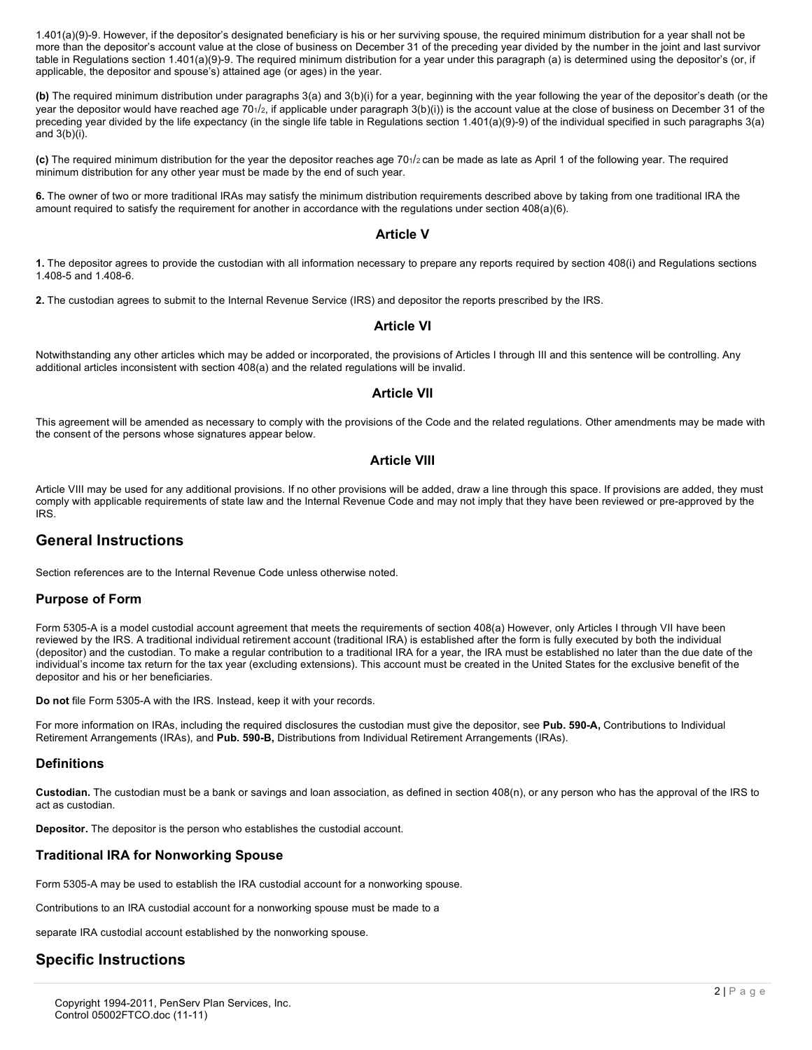1.401(a)(9)-9. However, if the depositor's designated beneficiary is his or her surviving spouse, the required minimum distribution for a year shall not be more than the depositor's account value at the close of business on December 31 of the preceding year divided by the number in the joint and last survivor table in Regulations section 1.401(a)(9)-9. The required minimum distribution for a year under this paragraph (a) is determined using the depositor's (or, if applicable, the depositor and spouse's) attained age (or ages) in the year.

**(b)** The required minimum distribution under paragraphs 3(a) and 3(b)(i) for a year, beginning with the year following the year of the depositor's death (or the year the depositor would have reached age 701/2, if applicable under paragraph  $3(b)(i)$  is the account value at the close of business on December 31 of the preceding year divided by the life expectancy (in the single life table in Regulations section 1.401(a)(9)-9) of the individual specified in such paragraphs 3(a) and  $3(b)(i)$ .

**(c)** The required minimum distribution for the year the depositor reaches age 701/2 can be made as late as April 1 of the following year. The required minimum distribution for any other year must be made by the end of such year.

**6.** The owner of two or more traditional IRAs may satisfy the minimum distribution requirements described above by taking from one traditional IRA the amount required to satisfy the requirement for another in accordance with the regulations under section 408(a)(6).

## **Article V**

**1.** The depositor agrees to provide the custodian with all information necessary to prepare any reports required by section 408(i) and Regulations sections 1.408-5 and 1.408-6.

**2.** The custodian agrees to submit to the Internal Revenue Service (IRS) and depositor the reports prescribed by the IRS.

## **Article VI**

Notwithstanding any other articles which may be added or incorporated, the provisions of Articles I through III and this sentence will be controlling. Any additional articles inconsistent with section 408(a) and the related regulations will be invalid.

## **Article VII**

This agreement will be amended as necessary to comply with the provisions of the Code and the related regulations. Other amendments may be made with the consent of the persons whose signatures appear below.

## **Article VIII**

Article VIII may be used for any additional provisions. If no other provisions will be added, draw a line through this space. If provisions are added, they must comply with applicable requirements of state law and the Internal Revenue Code and may not imply that they have been reviewed or pre-approved by the IRS.

## **General Instructions**

Section references are to the Internal Revenue Code unless otherwise noted.

## **Purpose of Form**

Form 5305-A is a model custodial account agreement that meets the requirements of section 408(a) However, only Articles I through VII have been reviewed by the IRS. A traditional individual retirement account (traditional IRA) is established after the form is fully executed by both the individual (depositor) and the custodian. To make a regular contribution to a traditional IRA for a year, the IRA must be established no later than the due date of the individual's income tax return for the tax year (excluding extensions). This account must be created in the United States for the exclusive benefit of the depositor and his or her beneficiaries.

**Do not** file Form 5305-A with the IRS. Instead, keep it with your records.

For more information on IRAs, including the required disclosures the custodian must give the depositor, see **Pub. 590-A,** Contributions to Individual Retirement Arrangements (IRAs), and **Pub. 590-B,** Distributions from Individual Retirement Arrangements (IRAs).

## **Definitions**

**Custodian.** The custodian must be a bank or savings and loan association, as defined in section 408(n), or any person who has the approval of the IRS to act as custodian.

**Depositor.** The depositor is the person who establishes the custodial account.

## **Traditional IRA for Nonworking Spouse**

Form 5305-A may be used to establish the IRA custodial account for a nonworking spouse.

Contributions to an IRA custodial account for a nonworking spouse must be made to a

separate IRA custodial account established by the nonworking spouse.

## **Specific Instructions**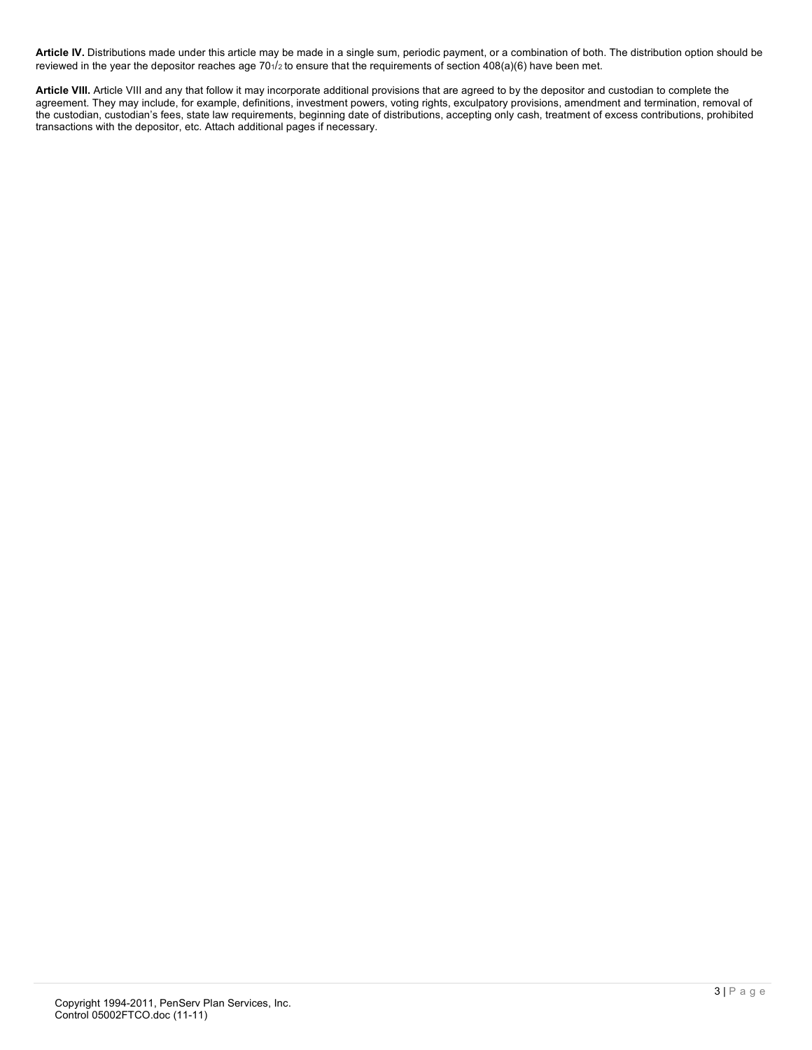**Article IV.** Distributions made under this article may be made in a single sum, periodic payment, or a combination of both. The distribution option should be reviewed in the year the depositor reaches age 701/2 to ensure that the requirements of section 408(a)(6) have been met.

**Article VIII.** Article VIII and any that follow it may incorporate additional provisions that are agreed to by the depositor and custodian to complete the agreement. They may include, for example, definitions, investment powers, voting rights, exculpatory provisions, amendment and termination, removal of the custodian, custodian's fees, state law requirements, beginning date of distributions, accepting only cash, treatment of excess contributions, prohibited transactions with the depositor, etc. Attach additional pages if necessary.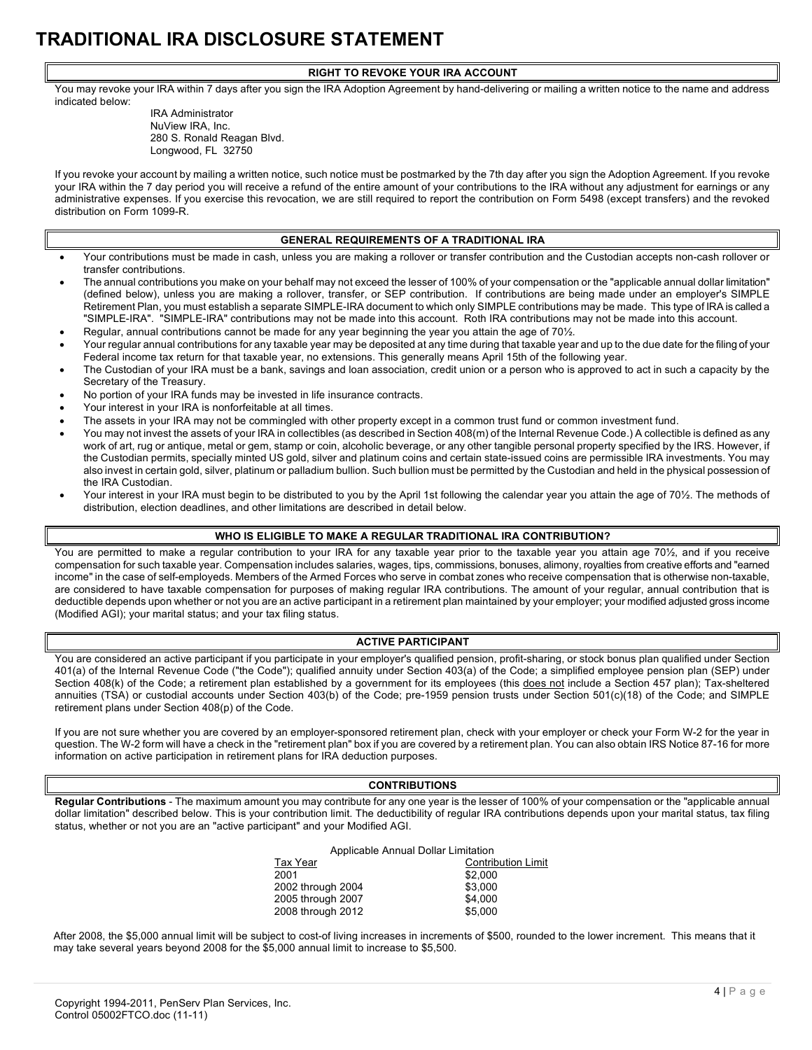# **TRADITIONAL IRA DISCLOSURE STATEMENT**

#### **RIGHT TO REVOKE YOUR IRA ACCOUNT**

You may revoke your IRA within 7 days after you sign the IRA Adoption Agreement by hand-delivering or mailing a written notice to the name and address indicated below:

> IRA Administrator NuView IRA, Inc. 280 S. Ronald Reagan Blvd. Longwood, FL 32750

If you revoke your account by mailing a written notice, such notice must be postmarked by the 7th day after you sign the Adoption Agreement. If you revoke your IRA within the 7 day period you will receive a refund of the entire amount of your contributions to the IRA without any adjustment for earnings or any administrative expenses. If you exercise this revocation, we are still required to report the contribution on Form 5498 (except transfers) and the revoked distribution on Form 1099-R.

#### **GENERAL REQUIREMENTS OF A TRADITIONAL IRA**

- Your contributions must be made in cash, unless you are making a rollover or transfer contribution and the Custodian accepts non-cash rollover or transfer contributions.
- The annual contributions you make on your behalf may not exceed the lesser of 100% of your compensation or the "applicable annual dollar limitation" (defined below), unless you are making a rollover, transfer, or SEP contribution. If contributions are being made under an employer's SIMPLE Retirement Plan, you must establish a separate SIMPLE-IRA document to which only SIMPLE contributions may be made. This type of IRA is called a "SIMPLE-IRA". "SIMPLE-IRA" contributions may not be made into this account. Roth IRA contributions may not be made into this account.
- Regular, annual contributions cannot be made for any year beginning the year you attain the age of 701/2.
- Your regular annual contributions for any taxable year may be deposited at any time during that taxable year and up to the due date for the filing of your Federal income tax return for that taxable year, no extensions. This generally means April 15th of the following year.
- The Custodian of your IRA must be a bank, savings and loan association, credit union or a person who is approved to act in such a capacity by the Secretary of the Treasury.
- No portion of your IRA funds may be invested in life insurance contracts.
- Your interest in your IRA is nonforfeitable at all times.
- The assets in your IRA may not be commingled with other property except in a common trust fund or common investment fund.
- You may not invest the assets of your IRA in collectibles (as described in Section 408(m) of the Internal Revenue Code.) A collectible is defined as any work of art, rug or antique, metal or gem, stamp or coin, alcoholic beverage, or any other tangible personal property specified by the IRS. However, if the Custodian permits, specially minted US gold, silver and platinum coins and certain state-issued coins are permissible IRA investments. You may also invest in certain gold, silver, platinum or palladium bullion. Such bullion must be permitted by the Custodian and held in the physical possession of the IRA Custodian.
- Your interest in your IRA must begin to be distributed to you by the April 1st following the calendar year you attain the age of 70½. The methods of distribution, election deadlines, and other limitations are described in detail below.

#### **WHO IS ELIGIBLE TO MAKE A REGULAR TRADITIONAL IRA CONTRIBUTION?**

You are permitted to make a regular contribution to your IRA for any taxable year prior to the taxable year you attain age 70½, and if you receive compensation for such taxable year. Compensation includes salaries, wages, tips, commissions, bonuses, alimony, royalties from creative efforts and "earned income" in the case of self-employeds. Members of the Armed Forces who serve in combat zones who receive compensation that is otherwise non-taxable, are considered to have taxable compensation for purposes of making regular IRA contributions. The amount of your regular, annual contribution that is deductible depends upon whether or not you are an active participant in a retirement plan maintained by your employer; your modified adjusted gross income (Modified AGI); your marital status; and your tax filing status.

#### **ACTIVE PARTICIPANT**

You are considered an active participant if you participate in your employer's qualified pension, profit-sharing, or stock bonus plan qualified under Section 401(a) of the Internal Revenue Code ("the Code"); qualified annuity under Section 403(a) of the Code; a simplified employee pension plan (SEP) under Section 408(k) of the Code; a retirement plan established by a government for its employees (this does not include a Section 457 plan); Tax-sheltered annuities (TSA) or custodial accounts under Section 403(b) of the Code; pre-1959 pension trusts under Section 501(c)(18) of the Code; and SIMPLE retirement plans under Section 408(p) of the Code.

If you are not sure whether you are covered by an employer-sponsored retirement plan, check with your employer or check your Form W-2 for the year in question. The W-2 form will have a check in the "retirement plan" box if you are covered by a retirement plan. You can also obtain IRS Notice 87-16 for more information on active participation in retirement plans for IRA deduction purposes.

#### **CONTRIBUTIONS**

**Regular Contributions** - The maximum amount you may contribute for any one year is the lesser of 100% of your compensation or the "applicable annual dollar limitation" described below. This is your contribution limit. The deductibility of regular IRA contributions depends upon your marital status, tax filing status, whether or not you are an "active participant" and your Modified AGI.

| Applicable Annual Dollar Limitation |                           |  |
|-------------------------------------|---------------------------|--|
| Tax Year                            | <b>Contribution Limit</b> |  |
| 2001                                | \$2,000                   |  |
| 2002 through 2004                   | \$3.000                   |  |
| 2005 through 2007                   | \$4.000                   |  |
| 2008 through 2012                   | \$5.000                   |  |
|                                     |                           |  |

After 2008, the \$5,000 annual limit will be subject to cost-of living increases in increments of \$500, rounded to the lower increment. This means that it may take several years beyond 2008 for the \$5,000 annual limit to increase to \$5,500.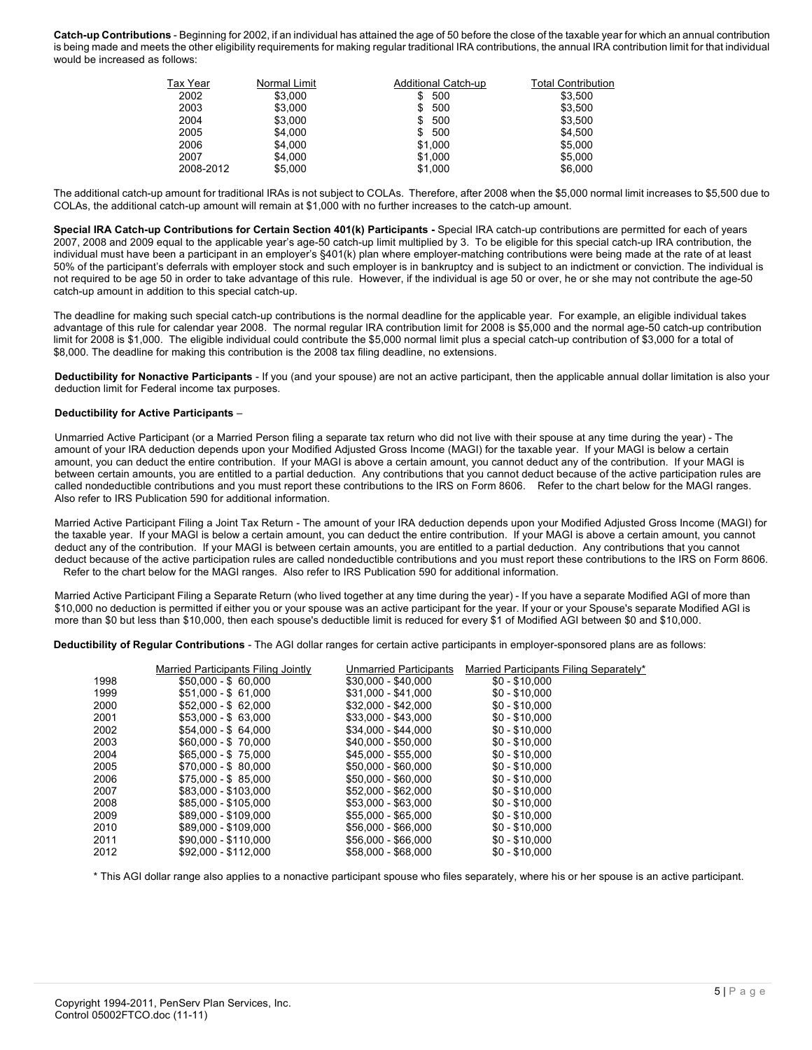**Catch-up Contributions** - Beginning for 2002, if an individual has attained the age of 50 before the close of the taxable year for which an annual contribution is being made and meets the other eligibility requirements for making regular traditional IRA contributions, the annual IRA contribution limit for that individual would be increased as follows:

| Tax Year  | Normal Limit | Additional Catch-up | Total Contribution |
|-----------|--------------|---------------------|--------------------|
| 2002      | \$3,000      | 500                 | \$3.500            |
| 2003      | \$3.000      | 500<br>S            | \$3.500            |
| 2004      | \$3,000      | 500                 | \$3,500            |
| 2005      | \$4,000      | 500<br>\$           | \$4,500            |
| 2006      | \$4.000      | \$1.000             | \$5,000            |
| 2007      | \$4.000      | \$1.000             | \$5,000            |
| 2008-2012 | \$5.000      | \$1.000             | \$6,000            |

The additional catch-up amount for traditional IRAs is not subject to COLAs. Therefore, after 2008 when the \$5,000 normal limit increases to \$5,500 due to COLAs, the additional catch-up amount will remain at \$1,000 with no further increases to the catch-up amount.

**Special IRA Catch-up Contributions for Certain Section 401(k) Participants -** Special IRA catch-up contributions are permitted for each of years 2007, 2008 and 2009 equal to the applicable year's age-50 catch-up limit multiplied by 3. To be eligible for this special catch-up IRA contribution, the individual must have been a participant in an employer's §401(k) plan where employer-matching contributions were being made at the rate of at least 50% of the participant's deferrals with employer stock and such employer is in bankruptcy and is subject to an indictment or conviction. The individual is not required to be age 50 in order to take advantage of this rule. However, if the individual is age 50 or over, he or she may not contribute the age-50 catch-up amount in addition to this special catch-up.

The deadline for making such special catch-up contributions is the normal deadline for the applicable year. For example, an eligible individual takes advantage of this rule for calendar year 2008. The normal regular IRA contribution limit for 2008 is \$5,000 and the normal age-50 catch-up contribution limit for 2008 is \$1,000. The eligible individual could contribute the \$5,000 normal limit plus a special catch-up contribution of \$3,000 for a total of \$8,000. The deadline for making this contribution is the 2008 tax filing deadline, no extensions.

**Deductibility for Nonactive Participants** - If you (and your spouse) are not an active participant, then the applicable annual dollar limitation is also your deduction limit for Federal income tax purposes.

#### **Deductibility for Active Participants** –

Unmarried Active Participant (or a Married Person filing a separate tax return who did not live with their spouse at any time during the year) - The amount of your IRA deduction depends upon your Modified Adjusted Gross Income (MAGI) for the taxable year. If your MAGI is below a certain amount, you can deduct the entire contribution. If your MAGI is above a certain amount, you cannot deduct any of the contribution. If your MAGI is between certain amounts, you are entitled to a partial deduction. Any contributions that you cannot deduct because of the active participation rules are called nondeductible contributions and you must report these contributions to the IRS on Form 8606. Refer to the chart below for the MAGI ranges. Also refer to IRS Publication 590 for additional information.

Married Active Participant Filing a Joint Tax Return - The amount of your IRA deduction depends upon your Modified Adjusted Gross Income (MAGI) for the taxable year. If your MAGI is below a certain amount, you can deduct the entire contribution. If your MAGI is above a certain amount, you cannot deduct any of the contribution. If your MAGI is between certain amounts, you are entitled to a partial deduction. Any contributions that you cannot deduct because of the active participation rules are called nondeductible contributions and you must report these contributions to the IRS on Form 8606. Refer to the chart below for the MAGI ranges. Also refer to IRS Publication 590 for additional information.

Married Active Participant Filing a Separate Return (who lived together at any time during the year) - If you have a separate Modified AGI of more than \$10,000 no deduction is permitted if either you or your spouse was an active participant for the year. If your or your Spouse's separate Modified AGI is more than \$0 but less than \$10,000, then each spouse's deductible limit is reduced for every \$1 of Modified AGI between \$0 and \$10,000.

**Deductibility of Regular Contributions** - The AGI dollar ranges for certain active participants in employer-sponsored plans are as follows:

|      | Married Participants Filing Jointly | Unmarried Participants | Married Participants Filing Separately* |
|------|-------------------------------------|------------------------|-----------------------------------------|
| 1998 | $$50.000 - $60.000$                 | $$30,000 - $40,000$    | $$0 - $10.000$                          |
| 1999 | $$51.000 - $61.000$                 | \$31,000 - \$41,000    | $$0 - $10,000$                          |
| 2000 | $$52.000 - $62.000$                 | $$32,000 - $42,000$    | $$0 - $10.000$                          |
| 2001 | $$53.000 - $63.000$                 | \$33,000 - \$43,000    | $$0 - $10.000$                          |
| 2002 | $$54.000 - $64.000$                 | \$34.000 - \$44.000    | $$0 - $10.000$                          |
| 2003 | $$60.000 - $70.000$                 | \$40.000 - \$50.000    | $$0 - $10.000$                          |
| 2004 | $$65.000 - $75.000$                 | \$45.000 - \$55.000    | $$0 - $10.000$                          |
| 2005 | $$70,000 - $80,000$                 | $$50,000 - $60,000$    | $$0 - $10,000$                          |
| 2006 | $$75,000 - $85,000$                 | \$50.000 - \$60.000    | $$0 - $10.000$                          |
| 2007 | \$83.000 - \$103.000                | \$52.000 - \$62.000    | $$0 - $10.000$                          |
| 2008 | \$85,000 - \$105,000                | \$53,000 - \$63,000    | $$0 - $10,000$                          |
| 2009 | \$89.000 - \$109.000                | \$55,000 - \$65,000    | $$0 - $10.000$                          |
| 2010 | \$89,000 - \$109,000                | \$56,000 - \$66,000    | $$0 - $10.000$                          |
| 2011 | \$90.000 - \$110.000                | \$56,000 - \$66,000    | $$0 - $10.000$                          |
| 2012 | \$92.000 - \$112.000                | \$58.000 - \$68.000    | $$0 - $10.000$                          |
|      |                                     |                        |                                         |

\* This AGI dollar range also applies to a nonactive participant spouse who files separately, where his or her spouse is an active participant.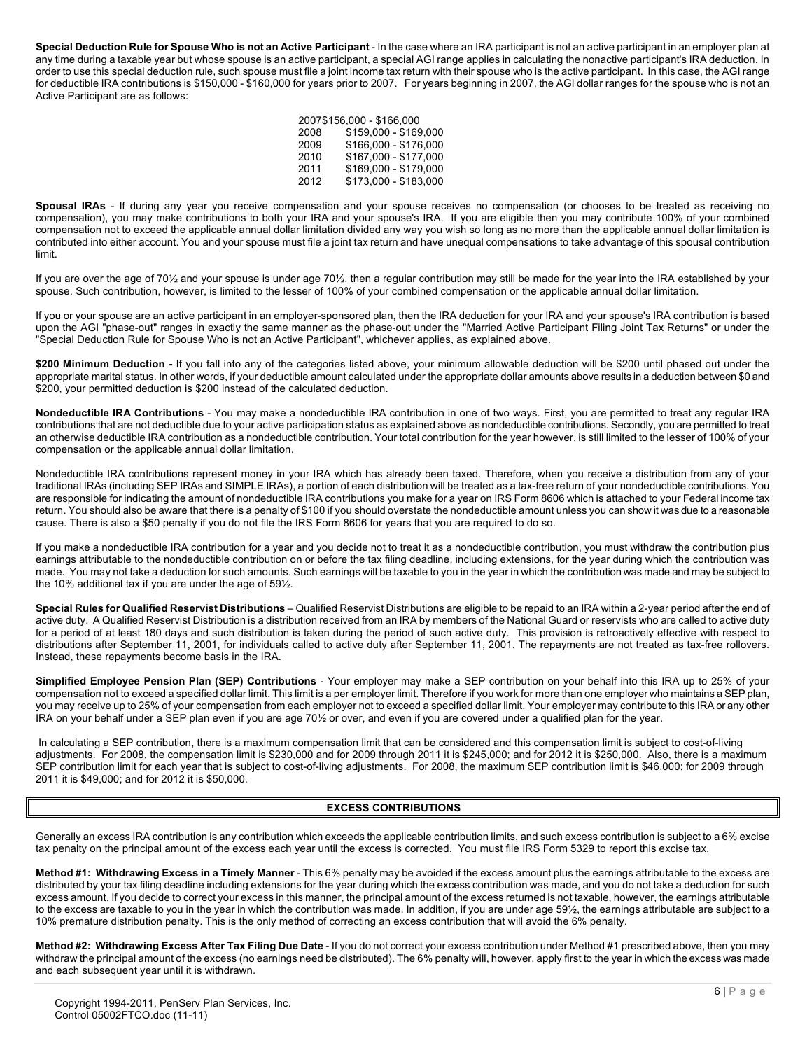**Special Deduction Rule for Spouse Who is not an Active Participant** - In the case where an IRA participant is not an active participant in an employer plan at any time during a taxable year but whose spouse is an active participant, a special AGI range applies in calculating the nonactive participant's IRA deduction. In order to use this special deduction rule, such spouse must file a joint income tax return with their spouse who is the active participant. In this case, the AGI range for deductible IRA contributions is \$150,000 - \$160,000 for years prior to 2007. For years beginning in 2007, the AGI dollar ranges for the spouse who is not an Active Participant are as follows:

|      | 2007\$156.000 - \$166.000 |
|------|---------------------------|
| 2008 | \$159,000 - \$169,000     |
| 2009 | \$166,000 - \$176,000     |
| 2010 | \$167,000 - \$177,000     |
| 2011 | \$169,000 - \$179,000     |
| 2012 | \$173,000 - \$183,000     |

**Spousal IRAs** - If during any year you receive compensation and your spouse receives no compensation (or chooses to be treated as receiving no compensation), you may make contributions to both your IRA and your spouse's IRA. If you are eligible then you may contribute 100% of your combined compensation not to exceed the applicable annual dollar limitation divided any way you wish so long as no more than the applicable annual dollar limitation is contributed into either account. You and your spouse must file a joint tax return and have unequal compensations to take advantage of this spousal contribution limit.

If you are over the age of 70½ and your spouse is under age 70½, then a regular contribution may still be made for the year into the IRA established by your spouse. Such contribution, however, is limited to the lesser of 100% of your combined compensation or the applicable annual dollar limitation.

If you or your spouse are an active participant in an employer-sponsored plan, then the IRA deduction for your IRA and your spouse's IRA contribution is based upon the AGI "phase-out" ranges in exactly the same manner as the phase-out under the "Married Active Participant Filing Joint Tax Returns" or under the "Special Deduction Rule for Spouse Who is not an Active Participant", whichever applies, as explained above.

\$200 Minimum Deduction - If you fall into any of the categories listed above, your minimum allowable deduction will be \$200 until phased out under the appropriate marital status. In other words, if your deductible amount calculated under the appropriate dollar amounts above results in a deduction between \$0 and \$200, your permitted deduction is \$200 instead of the calculated deduction.

**Nondeductible IRA Contributions** - You may make a nondeductible IRA contribution in one of two ways. First, you are permitted to treat any regular IRA contributions that are not deductible due to your active participation status as explained above as nondeductible contributions. Secondly, you are permitted to treat an otherwise deductible IRA contribution as a nondeductible contribution. Your total contribution for the year however, is still limited to the lesser of 100% of your compensation or the applicable annual dollar limitation.

Nondeductible IRA contributions represent money in your IRA which has already been taxed. Therefore, when you receive a distribution from any of your traditional IRAs (including SEP IRAs and SIMPLE IRAs), a portion of each distribution will be treated as a tax-free return of your nondeductible contributions. You are responsible for indicating the amount of nondeductible IRA contributions you make for a year on IRS Form 8606 which is attached to your Federal income tax return. You should also be aware that there is a penalty of \$100 if you should overstate the nondeductible amount unless you can show it was due to a reasonable cause. There is also a \$50 penalty if you do not file the IRS Form 8606 for years that you are required to do so.

If you make a nondeductible IRA contribution for a year and you decide not to treat it as a nondeductible contribution, you must withdraw the contribution plus earnings attributable to the nondeductible contribution on or before the tax filing deadline, including extensions, for the year during which the contribution was made. You may not take a deduction for such amounts. Such earnings will be taxable to you in the year in which the contribution was made and may be subject to the 10% additional tax if you are under the age of 59½.

**Special Rules for Qualified Reservist Distributions** – Qualified Reservist Distributions are eligible to be repaid to an IRA within a 2-year period after the end of active duty. A Qualified Reservist Distribution is a distribution received from an IRA by members of the National Guard or reservists who are called to active duty for a period of at least 180 days and such distribution is taken during the period of such active duty. This provision is retroactively effective with respect to distributions after September 11, 2001, for individuals called to active duty after September 11, 2001. The repayments are not treated as tax-free rollovers. Instead, these repayments become basis in the IRA.

**Simplified Employee Pension Plan (SEP) Contributions** - Your employer may make a SEP contribution on your behalf into this IRA up to 25% of your compensation not to exceed a specified dollar limit. This limit is a per employer limit. Therefore if you work for more than one employer who maintains a SEP plan, you may receive up to 25% of your compensation from each employer not to exceed a specified dollar limit. Your employer may contribute to this IRA or any other IRA on your behalf under a SEP plan even if you are age 70½ or over, and even if you are covered under a qualified plan for the year.

In calculating a SEP contribution, there is a maximum compensation limit that can be considered and this compensation limit is subject to cost-of-living adjustments. For 2008, the compensation limit is \$230,000 and for 2009 through 2011 it is \$245,000; and for 2012 it is \$250,000. Also, there is a maximum SEP contribution limit for each year that is subject to cost-of-living adjustments. For 2008, the maximum SEP contribution limit is \$46,000; for 2009 through 2011 it is \$49,000; and for 2012 it is \$50,000.

#### **EXCESS CONTRIBUTIONS**

Generally an excess IRA contribution is any contribution which exceeds the applicable contribution limits, and such excess contribution is subject to a 6% excise tax penalty on the principal amount of the excess each year until the excess is corrected. You must file IRS Form 5329 to report this excise tax.

**Method #1: Withdrawing Excess in a Timely Manner** - This 6% penalty may be avoided if the excess amount plus the earnings attributable to the excess are distributed by your tax filing deadline including extensions for the year during which the excess contribution was made, and you do not take a deduction for such excess amount. If you decide to correct your excess in this manner, the principal amount of the excess returned is not taxable, however, the earnings attributable to the excess are taxable to you in the year in which the contribution was made. In addition, if you are under age 59½, the earnings attributable are subject to a 10% premature distribution penalty. This is the only method of correcting an excess contribution that will avoid the 6% penalty.

**Method #2: Withdrawing Excess After Tax Filing Due Date** - If you do not correct your excess contribution under Method #1 prescribed above, then you may withdraw the principal amount of the excess (no earnings need be distributed). The 6% penalty will, however, apply first to the year in which the excess was made and each subsequent year until it is withdrawn.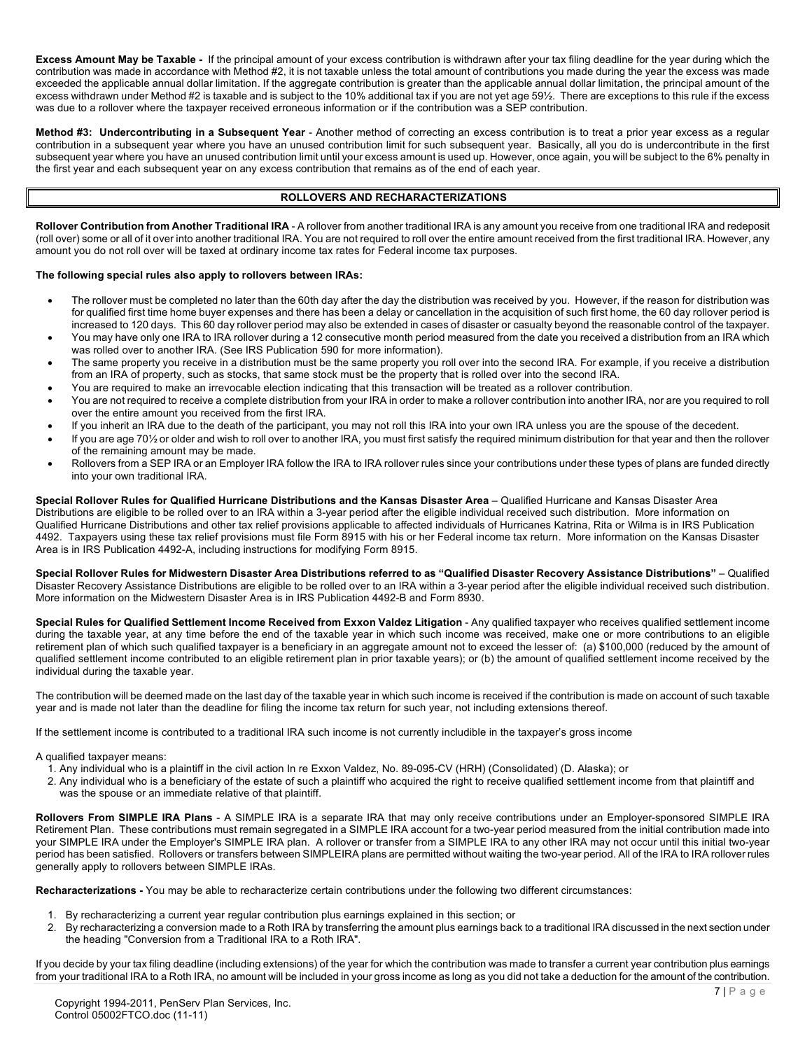**Excess Amount May be Taxable -** If the principal amount of your excess contribution is withdrawn after your tax filing deadline for the year during which the contribution was made in accordance with Method #2, it is not taxable unless the total amount of contributions you made during the year the excess was made exceeded the applicable annual dollar limitation. If the aggregate contribution is greater than the applicable annual dollar limitation, the principal amount of the excess withdrawn under Method #2 is taxable and is subject to the 10% additional tax if you are not yet age 59½. There are exceptions to this rule if the excess was due to a rollover where the taxpayer received erroneous information or if the contribution was a SEP contribution.

**Method #3: Undercontributing in a Subsequent Year** - Another method of correcting an excess contribution is to treat a prior year excess as a regular contribution in a subsequent year where you have an unused contribution limit for such subsequent year. Basically, all you do is undercontribute in the first subsequent year where you have an unused contribution limit until your excess amount is used up. However, once again, you will be subject to the 6% penalty in the first year and each subsequent year on any excess contribution that remains as of the end of each year.

#### **ROLLOVERS AND RECHARACTERIZATIONS**

**Rollover Contribution from Another Traditional IRA** - A rollover from another traditional IRA is any amount you receive from one traditional IRA and redeposit (roll over) some or all of it over into another traditional IRA. You are not required to roll over the entire amount received from the first traditional IRA. However, any amount you do not roll over will be taxed at ordinary income tax rates for Federal income tax purposes.

#### **The following special rules also apply to rollovers between IRAs:**

- The rollover must be completed no later than the 60th day after the day the distribution was received by you. However, if the reason for distribution was for qualified first time home buyer expenses and there has been a delay or cancellation in the acquisition of such first home, the 60 day rollover period is increased to 120 days. This 60 day rollover period may also be extended in cases of disaster or casualty beyond the reasonable control of the taxpayer.
- You may have only one IRA to IRA rollover during a 12 consecutive month period measured from the date you received a distribution from an IRA which was rolled over to another IRA. (See IRS Publication 590 for more information).
- The same property you receive in a distribution must be the same property you roll over into the second IRA. For example, if you receive a distribution from an IRA of property, such as stocks, that same stock must be the property that is rolled over into the second IRA.
- You are required to make an irrevocable election indicating that this transaction will be treated as a rollover contribution.
- You are not required to receive a complete distribution from your IRA in order to make a rollover contribution into another IRA, nor are you required to roll over the entire amount you received from the first IRA.
- If you inherit an IRA due to the death of the participant, you may not roll this IRA into your own IRA unless you are the spouse of the decedent.
- If you are age 70½ or older and wish to roll over to another IRA, you must first satisfy the required minimum distribution for that year and then the rollover of the remaining amount may be made.
- Rollovers from a SEP IRA or an Employer IRA follow the IRA to IRA rollover rules since your contributions under these types of plans are funded directly into your own traditional IRA.

**Special Rollover Rules for Qualified Hurricane Distributions and the Kansas Disaster Area** – Qualified Hurricane and Kansas Disaster Area Distributions are eligible to be rolled over to an IRA within a 3-year period after the eligible individual received such distribution. More information on Qualified Hurricane Distributions and other tax relief provisions applicable to affected individuals of Hurricanes Katrina, Rita or Wilma is in IRS Publication 4492. Taxpayers using these tax relief provisions must file Form 8915 with his or her Federal income tax return. More information on the Kansas Disaster Area is in IRS Publication 4492-A, including instructions for modifying Form 8915.

**Special Rollover Rules for Midwestern Disaster Area Distributions referred to as "Qualified Disaster Recovery Assistance Distributions"** – Qualified Disaster Recovery Assistance Distributions are eligible to be rolled over to an IRA within a 3-year period after the eligible individual received such distribution. More information on the Midwestern Disaster Area is in IRS Publication 4492-B and Form 8930.

**Special Rules for Qualified Settlement Income Received from Exxon Valdez Litigation** - Any qualified taxpayer who receives qualified settlement income during the taxable year, at any time before the end of the taxable year in which such income was received, make one or more contributions to an eligible retirement plan of which such qualified taxpayer is a beneficiary in an aggregate amount not to exceed the lesser of: (a) \$100,000 (reduced by the amount of qualified settlement income contributed to an eligible retirement plan in prior taxable years); or (b) the amount of qualified settlement income received by the individual during the taxable year.

The contribution will be deemed made on the last day of the taxable year in which such income is received if the contribution is made on account of such taxable year and is made not later than the deadline for filing the income tax return for such year, not including extensions thereof.

If the settlement income is contributed to a traditional IRA such income is not currently includible in the taxpayer's gross income

A qualified taxpayer means:

- 1. Any individual who is a plaintiff in the civil action In re Exxon Valdez, No. 89-095-CV (HRH) (Consolidated) (D. Alaska); or
- 2. Any individual who is a beneficiary of the estate of such a plaintiff who acquired the right to receive qualified settlement income from that plaintiff and was the spouse or an immediate relative of that plaintiff.

**Rollovers From SIMPLE IRA Plans** - A SIMPLE IRA is a separate IRA that may only receive contributions under an Employer-sponsored SIMPLE IRA Retirement Plan. These contributions must remain segregated in a SIMPLE IRA account for a two-year period measured from the initial contribution made into your SIMPLE IRA under the Employer's SIMPLE IRA plan. A rollover or transfer from a SIMPLE IRA to any other IRA may not occur until this initial two-year period has been satisfied. Rollovers or transfers between SIMPLEIRA plans are permitted without waiting the two-year period. All of the IRA to IRA rollover rules generally apply to rollovers between SIMPLE IRAs.

**Recharacterizations -** You may be able to recharacterize certain contributions under the following two different circumstances:

- 1. By recharacterizing a current year regular contribution plus earnings explained in this section; or
- 2. By recharacterizing a conversion made to a Roth IRA by transferring the amount plus earnings back to a traditional IRA discussed in the next section under the heading "Conversion from a Traditional IRA to a Roth IRA".

If you decide by your tax filing deadline (including extensions) of the year for which the contribution was made to transfer a current year contribution plus earnings from your traditional IRA to a Roth IRA, no amount will be included in your gross income as long as you did not take a deduction for the amount of the contribution.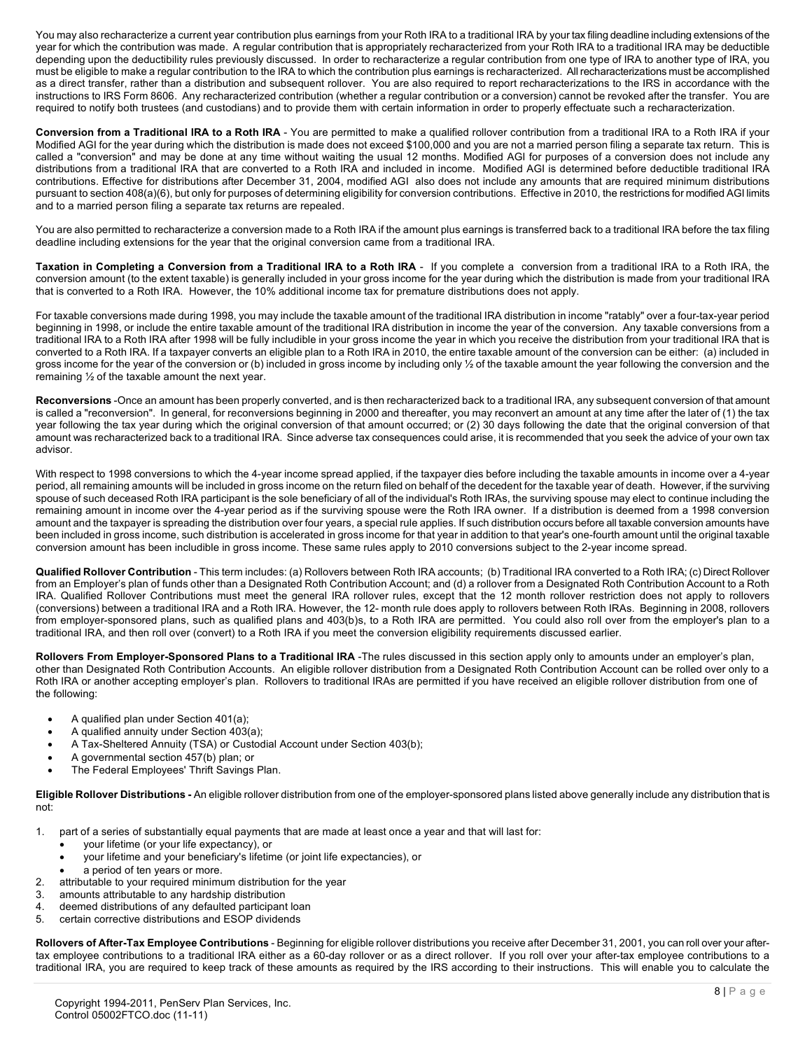You may also recharacterize a current year contribution plus earnings from your Roth IRA to a traditional IRA by your tax filing deadline including extensions of the year for which the contribution was made. A regular contribution that is appropriately recharacterized from your Roth IRA to a traditional IRA may be deductible depending upon the deductibility rules previously discussed. In order to recharacterize a regular contribution from one type of IRA to another type of IRA, you must be eligible to make a regular contribution to the IRA to which the contribution plus earnings is recharacterized. All recharacterizations must be accomplished as a direct transfer, rather than a distribution and subsequent rollover. You are also required to report recharacterizations to the IRS in accordance with the instructions to IRS Form 8606. Any recharacterized contribution (whether a regular contribution or a conversion) cannot be revoked after the transfer. You are required to notify both trustees (and custodians) and to provide them with certain information in order to properly effectuate such a recharacterization.

**Conversion from a Traditional IRA to a Roth IRA** - You are permitted to make a qualified rollover contribution from a traditional IRA to a Roth IRA if your Modified AGI for the year during which the distribution is made does not exceed \$100,000 and you are not a married person filing a separate tax return. This is called a "conversion" and may be done at any time without waiting the usual 12 months. Modified AGI for purposes of a conversion does not include any distributions from a traditional IRA that are converted to a Roth IRA and included in income. Modified AGI is determined before deductible traditional IRA contributions. Effective for distributions after December 31, 2004, modified AGI also does not include any amounts that are required minimum distributions pursuant to section 408(a)(6), but only for purposes of determining eligibility for conversion contributions. Effective in 2010, the restrictions for modified AGI limits and to a married person filing a separate tax returns are repealed.

You are also permitted to recharacterize a conversion made to a Roth IRA if the amount plus earnings is transferred back to a traditional IRA before the tax filing deadline including extensions for the year that the original conversion came from a traditional IRA.

**Taxation in Completing a Conversion from a Traditional IRA to a Roth IRA** - If you complete a conversion from a traditional IRA to a Roth IRA, the conversion amount (to the extent taxable) is generally included in your gross income for the year during which the distribution is made from your traditional IRA that is converted to a Roth IRA. However, the 10% additional income tax for premature distributions does not apply.

For taxable conversions made during 1998, you may include the taxable amount of the traditional IRA distribution in income "ratably" over a four-tax-year period beginning in 1998, or include the entire taxable amount of the traditional IRA distribution in income the year of the conversion. Any taxable conversions from a traditional IRA to a Roth IRA after 1998 will be fully includible in your gross income the year in which you receive the distribution from your traditional IRA that is converted to a Roth IRA. If a taxpayer converts an eligible plan to a Roth IRA in 2010, the entire taxable amount of the conversion can be either: (a) included in gross income for the year of the conversion or (b) included in gross income by including only 1/2 of the taxable amount the year following the conversion and the remaining ½ of the taxable amount the next year.

**Reconversions** -Once an amount has been properly converted, and is then recharacterized back to a traditional IRA, any subsequent conversion of that amount is called a "reconversion". In general, for reconversions beginning in 2000 and thereafter, you may reconvert an amount at any time after the later of (1) the tax year following the tax year during which the original conversion of that amount occurred; or (2) 30 days following the date that the original conversion of that amount was recharacterized back to a traditional IRA. Since adverse tax consequences could arise, it is recommended that you seek the advice of your own tax advisor.

With respect to 1998 conversions to which the 4-year income spread applied, if the taxpayer dies before including the taxable amounts in income over a 4-year period, all remaining amounts will be included in gross income on the return filed on behalf of the decedent for the taxable year of death. However, if the surviving spouse of such deceased Roth IRA participant is the sole beneficiary of all of the individual's Roth IRAs, the surviving spouse may elect to continue including the remaining amount in income over the 4-year period as if the surviving spouse were the Roth IRA owner. If a distribution is deemed from a 1998 conversion amount and the taxpayer is spreading the distribution over four years, a special rule applies. If such distribution occurs before all taxable conversion amounts have been included in gross income, such distribution is accelerated in gross income for that year in addition to that year's one-fourth amount until the original taxable conversion amount has been includible in gross income. These same rules apply to 2010 conversions subject to the 2-year income spread.

**Qualified Rollover Contribution** - This term includes: (a) Rollovers between Roth IRA accounts; (b) Traditional IRA converted to a Roth IRA; (c) Direct Rollover from an Employer's plan of funds other than a Designated Roth Contribution Account; and (d) a rollover from a Designated Roth Contribution Account to a Roth IRA. Qualified Rollover Contributions must meet the general IRA rollover rules, except that the 12 month rollover restriction does not apply to rollovers (conversions) between a traditional IRA and a Roth IRA. However, the 12- month rule does apply to rollovers between Roth IRAs. Beginning in 2008, rollovers from employer-sponsored plans, such as qualified plans and 403(b)s, to a Roth IRA are permitted. You could also roll over from the employer's plan to a traditional IRA, and then roll over (convert) to a Roth IRA if you meet the conversion eligibility requirements discussed earlier.

**Rollovers From Employer-Sponsored Plans to a Traditional IRA** -The rules discussed in this section apply only to amounts under an employer's plan, other than Designated Roth Contribution Accounts. An eligible rollover distribution from a Designated Roth Contribution Account can be rolled over only to a Roth IRA or another accepting employer's plan. Rollovers to traditional IRAs are permitted if you have received an eligible rollover distribution from one of the following:

- A qualified plan under Section 401(a);
- A qualified annuity under Section 403(a);
- A Tax-Sheltered Annuity (TSA) or Custodial Account under Section 403(b);
- A governmental section 457(b) plan; or
- The Federal Employees' Thrift Savings Plan.

**Eligible Rollover Distributions -** An eligible rollover distribution from one of the employer-sponsored plans listed above generally include any distribution that is not:

- 1. part of a series of substantially equal payments that are made at least once a year and that will last for:
	- your lifetime (or your life expectancy), or
	- your lifetime and your beneficiary's lifetime (or joint life expectancies), or
	- a period of ten years or more.
- 2. attributable to your required minimum distribution for the year
- 3. amounts attributable to any hardship distribution
- 4. deemed distributions of any defaulted participant loan
- 5. certain corrective distributions and ESOP dividends

**Rollovers of After-Tax Employee Contributions** - Beginning for eligible rollover distributions you receive after December 31, 2001, you can roll over your aftertax employee contributions to a traditional IRA either as a 60-day rollover or as a direct rollover. If you roll over your after-tax employee contributions to a traditional IRA, you are required to keep track of these amounts as required by the IRS according to their instructions. This will enable you to calculate the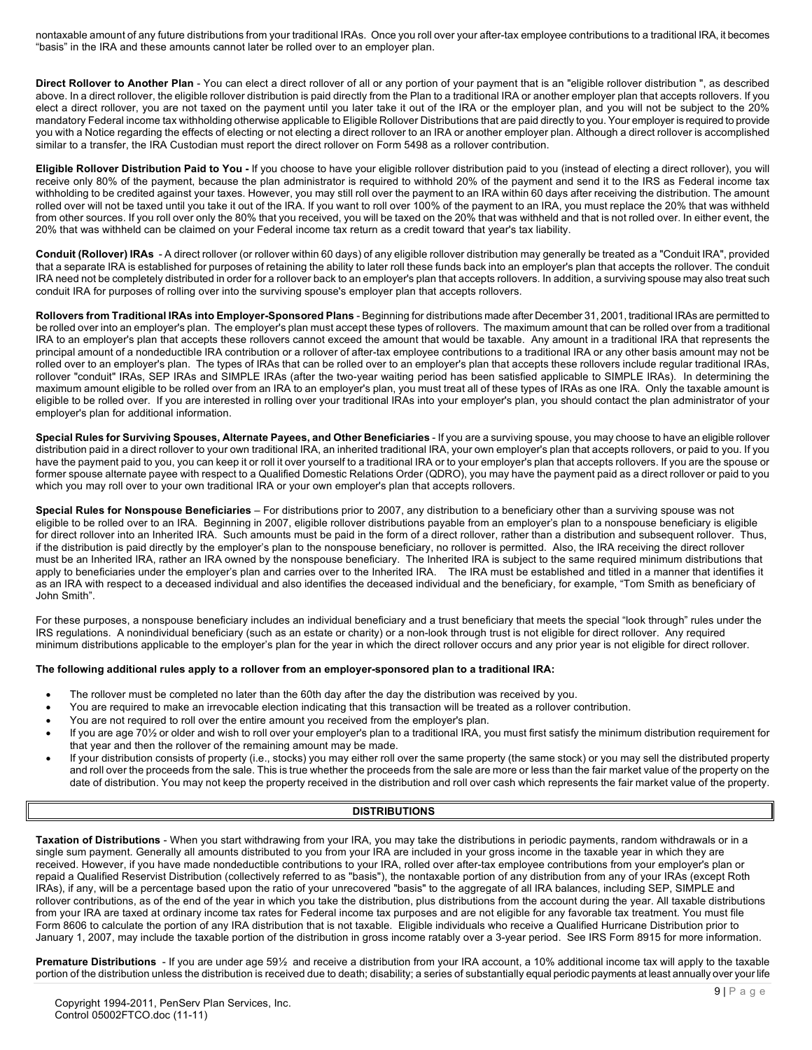nontaxable amount of any future distributions from your traditional IRAs. Once you roll over your after-tax employee contributions to a traditional IRA, it becomes "basis" in the IRA and these amounts cannot later be rolled over to an employer plan.

**Direct Rollover to Another Plan** - You can elect a direct rollover of all or any portion of your payment that is an "eligible rollover distribution ", as described above. In a direct rollover, the eligible rollover distribution is paid directly from the Plan to a traditional IRA or another employer plan that accepts rollovers. If you elect a direct rollover, you are not taxed on the payment until you later take it out of the IRA or the employer plan, and you will not be subject to the 20% mandatory Federal income tax withholding otherwise applicable to Eligible Rollover Distributions that are paid directly to you. Your employer is required to provide you with a Notice regarding the effects of electing or not electing a direct rollover to an IRA or another employer plan. Although a direct rollover is accomplished similar to a transfer, the IRA Custodian must report the direct rollover on Form 5498 as a rollover contribution.

**Eligible Rollover Distribution Paid to You -** If you choose to have your eligible rollover distribution paid to you (instead of electing a direct rollover), you will receive only 80% of the payment, because the plan administrator is required to withhold 20% of the payment and send it to the IRS as Federal income tax withholding to be credited against your taxes. However, you may still roll over the payment to an IRA within 60 days after receiving the distribution. The amount rolled over will not be taxed until you take it out of the IRA. If you want to roll over 100% of the payment to an IRA, you must replace the 20% that was withheld from other sources. If you roll over only the 80% that you received, you will be taxed on the 20% that was withheld and that is not rolled over. In either event, the 20% that was withheld can be claimed on your Federal income tax return as a credit toward that year's tax liability.

**Conduit (Rollover) IRAs** - A direct rollover (or rollover within 60 days) of any eligible rollover distribution may generally be treated as a "Conduit IRA", provided that a separate IRA is established for purposes of retaining the ability to later roll these funds back into an employer's plan that accepts the rollover. The conduit IRA need not be completely distributed in order for a rollover back to an employer's plan that accepts rollovers. In addition, a surviving spouse may also treat such conduit IRA for purposes of rolling over into the surviving spouse's employer plan that accepts rollovers.

**Rollovers from Traditional IRAs into Employer-Sponsored Plans** - Beginning for distributions made after December 31, 2001, traditional IRAs are permitted to be rolled over into an employer's plan. The employer's plan must accept these types of rollovers. The maximum amount that can be rolled over from a traditional IRA to an employer's plan that accepts these rollovers cannot exceed the amount that would be taxable. Any amount in a traditional IRA that represents the principal amount of a nondeductible IRA contribution or a rollover of after-tax employee contributions to a traditional IRA or any other basis amount may not be rolled over to an employer's plan. The types of IRAs that can be rolled over to an employer's plan that accepts these rollovers include regular traditional IRAs, rollover "conduit" IRAs, SEP IRAs and SIMPLE IRAs (after the two-year waiting period has been satisfied applicable to SIMPLE IRAs). In determining the maximum amount eligible to be rolled over from an IRA to an employer's plan, you must treat all of these types of IRAs as one IRA. Only the taxable amount is eligible to be rolled over. If you are interested in rolling over your traditional IRAs into your employer's plan, you should contact the plan administrator of your employer's plan for additional information.

**Special Rules for Surviving Spouses, Alternate Payees, and Other Beneficiaries** - If you are a surviving spouse, you may choose to have an eligible rollover distribution paid in a direct rollover to your own traditional IRA, an inherited traditional IRA, your own employer's plan that accepts rollovers, or paid to you. If you have the payment paid to you, you can keep it or roll it over yourself to a traditional IRA or to your employer's plan that accepts rollovers. If you are the spouse or former spouse alternate payee with respect to a Qualified Domestic Relations Order (QDRO), you may have the payment paid as a direct rollover or paid to you which you may roll over to your own traditional IRA or your own employer's plan that accepts rollovers.

**Special Rules for Nonspouse Beneficiaries** – For distributions prior to 2007, any distribution to a beneficiary other than a surviving spouse was not eligible to be rolled over to an IRA. Beginning in 2007, eligible rollover distributions payable from an employer's plan to a nonspouse beneficiary is eligible for direct rollover into an Inherited IRA. Such amounts must be paid in the form of a direct rollover, rather than a distribution and subsequent rollover. Thus, if the distribution is paid directly by the employer's plan to the nonspouse beneficiary, no rollover is permitted. Also, the IRA receiving the direct rollover must be an Inherited IRA, rather an IRA owned by the nonspouse beneficiary. The Inherited IRA is subject to the same required minimum distributions that apply to beneficiaries under the employer's plan and carries over to the Inherited IRA. The IRA must be established and titled in a manner that identifies it as an IRA with respect to a deceased individual and also identifies the deceased individual and the beneficiary, for example, "Tom Smith as beneficiary of John Smith".

For these purposes, a nonspouse beneficiary includes an individual beneficiary and a trust beneficiary that meets the special "look through" rules under the IRS regulations. A nonindividual beneficiary (such as an estate or charity) or a non-look through trust is not eligible for direct rollover. Any required minimum distributions applicable to the employer's plan for the year in which the direct rollover occurs and any prior year is not eligible for direct rollover.

#### **The following additional rules apply to a rollover from an employer-sponsored plan to a traditional IRA:**

- The rollover must be completed no later than the 60th day after the day the distribution was received by you.
- You are required to make an irrevocable election indicating that this transaction will be treated as a rollover contribution.
- You are not required to roll over the entire amount you received from the employer's plan.
- If you are age 70½ or older and wish to roll over your employer's plan to a traditional IRA, you must first satisfy the minimum distribution requirement for that year and then the rollover of the remaining amount may be made.
- If your distribution consists of property (i.e., stocks) you may either roll over the same property (the same stock) or you may sell the distributed property and roll over the proceeds from the sale. This is true whether the proceeds from the sale are more or less than the fair market value of the property on the date of distribution. You may not keep the property received in the distribution and roll over cash which represents the fair market value of the property.

#### **DISTRIBUTIONS**

**Taxation of Distributions** - When you start withdrawing from your IRA, you may take the distributions in periodic payments, random withdrawals or in a single sum payment. Generally all amounts distributed to you from your IRA are included in your gross income in the taxable year in which they are received. However, if you have made nondeductible contributions to your IRA, rolled over after-tax employee contributions from your employer's plan or repaid a Qualified Reservist Distribution (collectively referred to as "basis"), the nontaxable portion of any distribution from any of your IRAs (except Roth IRAs), if any, will be a percentage based upon the ratio of your unrecovered "basis" to the aggregate of all IRA balances, including SEP, SIMPLE and rollover contributions, as of the end of the year in which you take the distribution, plus distributions from the account during the year. All taxable distributions from your IRA are taxed at ordinary income tax rates for Federal income tax purposes and are not eligible for any favorable tax treatment. You must file Form 8606 to calculate the portion of any IRA distribution that is not taxable. Eligible individuals who receive a Qualified Hurricane Distribution prior to January 1, 2007, may include the taxable portion of the distribution in gross income ratably over a 3-year period. See IRS Form 8915 for more information.

**Premature Distributions** - If you are under age 59½ and receive a distribution from your IRA account, a 10% additional income tax will apply to the taxable portion of the distribution unless the distribution is received due to death; disability; a series of substantially equal periodic payments at least annually over your life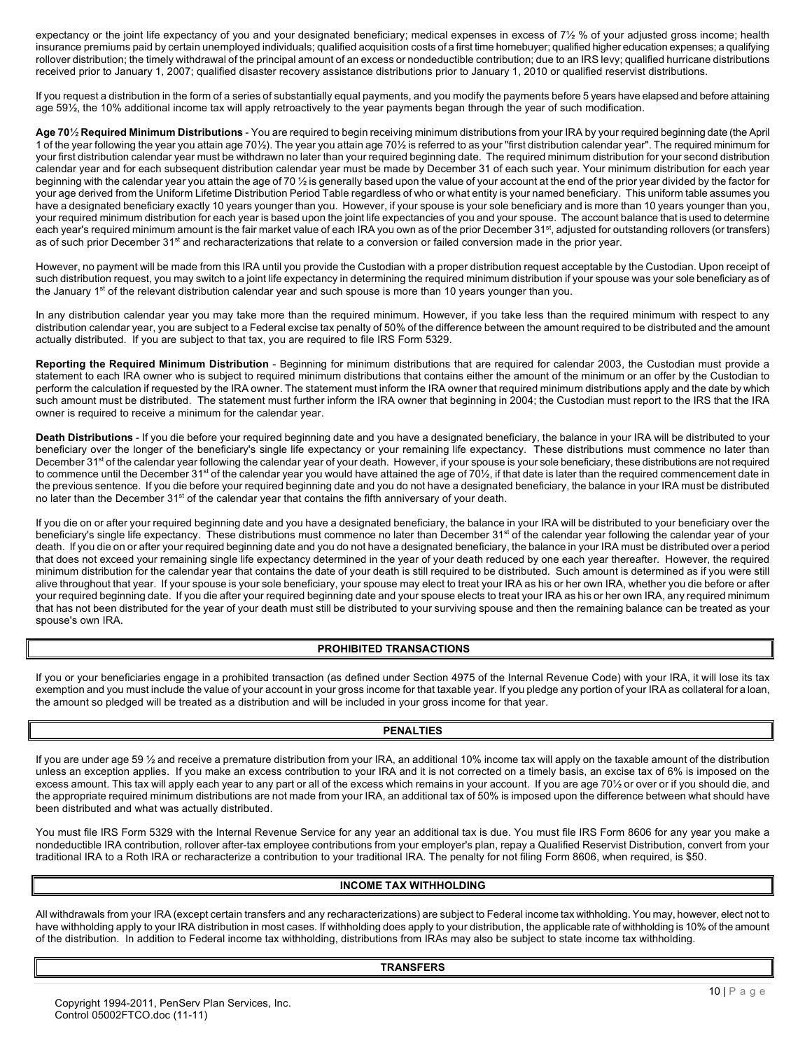expectancy or the joint life expectancy of you and your designated beneficiary; medical expenses in excess of 7½ % of your adjusted gross income; health insurance premiums paid by certain unemployed individuals; qualified acquisition costs of a first time homebuyer; qualified higher education expenses; a qualifying rollover distribution; the timely withdrawal of the principal amount of an excess or nondeductible contribution; due to an IRS levy; qualified hurricane distributions received prior to January 1, 2007; qualified disaster recovery assistance distributions prior to January 1, 2010 or qualified reservist distributions.

If you request a distribution in the form of a series of substantially equal payments, and you modify the payments before 5 years have elapsed and before attaining age 59½, the 10% additional income tax will apply retroactively to the year payments began through the year of such modification.

**Age 70**½ **Required Minimum Distributions** - You are required to begin receiving minimum distributions from your IRA by your required beginning date (the April 1 of the year following the year you attain age 70½). The year you attain age 70½ is referred to as your "first distribution calendar year". The required minimum for your first distribution calendar year must be withdrawn no later than your required beginning date. The required minimum distribution for your second distribution calendar year and for each subsequent distribution calendar year must be made by December 31 of each such year. Your minimum distribution for each year beginning with the calendar year you attain the age of 70 1/2 is generally based upon the value of your account at the end of the prior year divided by the factor for your age derived from the Uniform Lifetime Distribution Period Table regardless of who or what entity is your named beneficiary. This uniform table assumes you have a designated beneficiary exactly 10 years younger than you. However, if your spouse is your sole beneficiary and is more than 10 years younger than you, your required minimum distribution for each year is based upon the joint life expectancies of you and your spouse. The account balance that is used to determine each year's required minimum amount is the fair market value of each IRA you own as of the prior December 31<sup>st</sup>, adjusted for outstanding rollovers (or transfers) as of such prior December 31<sup>st</sup> and recharacterizations that relate to a conversion or failed conversion made in the prior year.

However, no payment will be made from this IRA until you provide the Custodian with a proper distribution request acceptable by the Custodian. Upon receipt of such distribution request, you may switch to a joint life expectancy in determining the required minimum distribution if your spouse was your sole beneficiary as of the January 1<sup>st</sup> of the relevant distribution calendar year and such spouse is more than 10 years younger than you.

In any distribution calendar year you may take more than the required minimum. However, if you take less than the required minimum with respect to any distribution calendar year, you are subject to a Federal excise tax penalty of 50% of the difference between the amount required to be distributed and the amount actually distributed. If you are subject to that tax, you are required to file IRS Form 5329.

**Reporting the Required Minimum Distribution** - Beginning for minimum distributions that are required for calendar 2003, the Custodian must provide a statement to each IRA owner who is subject to required minimum distributions that contains either the amount of the minimum or an offer by the Custodian to perform the calculation if requested by the IRA owner. The statement must inform the IRA owner that required minimum distributions apply and the date by which such amount must be distributed. The statement must further inform the IRA owner that beginning in 2004; the Custodian must report to the IRS that the IRA owner is required to receive a minimum for the calendar year.

**Death Distributions** - If you die before your required beginning date and you have a designated beneficiary, the balance in your IRA will be distributed to your beneficiary over the longer of the beneficiary's single life expectancy or your remaining life expectancy. These distributions must commence no later than December 31<sup>st</sup> of the calendar year following the calendar year of your death. However, if your spouse is your sole beneficiary, these distributions are not required to commence until the December 31<sup>st</sup> of the calendar year you would have attained the age of 70½, if that date is later than the required commencement date in the previous sentence. If you die before your required beginning date and you do not have a designated beneficiary, the balance in your IRA must be distributed no later than the December 31<sup>st</sup> of the calendar year that contains the fifth anniversary of your death.

If you die on or after your required beginning date and you have a designated beneficiary, the balance in your IRA will be distributed to your beneficiary over the beneficiary's single life expectancy. These distributions must commence no later than December  $31<sup>st</sup>$  of the calendar year following the calendar year of your death. If you die on or after your required beginning date and you do not have a designated beneficiary, the balance in your IRA must be distributed over a period that does not exceed your remaining single life expectancy determined in the year of your death reduced by one each year thereafter. However, the required minimum distribution for the calendar year that contains the date of your death is still required to be distributed. Such amount is determined as if you were still alive throughout that year. If your spouse is your sole beneficiary, your spouse may elect to treat your IRA as his or her own IRA, whether you die before or after your required beginning date. If you die after your required beginning date and your spouse elects to treat your IRA as his or her own IRA, any required minimum that has not been distributed for the year of your death must still be distributed to your surviving spouse and then the remaining balance can be treated as your spouse's own IRA.

#### **PROHIBITED TRANSACTIONS**

If you or your beneficiaries engage in a prohibited transaction (as defined under Section 4975 of the Internal Revenue Code) with your IRA, it will lose its tax exemption and you must include the value of your account in your gross income for that taxable year. If you pledge any portion of your IRA as collateral for a loan, the amount so pledged will be treated as a distribution and will be included in your gross income for that year.

## **PENALTIES**

If you are under age 59 ½ and receive a premature distribution from your IRA, an additional 10% income tax will apply on the taxable amount of the distribution unless an exception applies. If you make an excess contribution to your IRA and it is not corrected on a timely basis, an excise tax of 6% is imposed on the excess amount. This tax will apply each year to any part or all of the excess which remains in your account. If you are age 70½ or over or if you should die, and the appropriate required minimum distributions are not made from your IRA, an additional tax of 50% is imposed upon the difference between what should have been distributed and what was actually distributed.

You must file IRS Form 5329 with the Internal Revenue Service for any year an additional tax is due. You must file IRS Form 8606 for any year you make a nondeductible IRA contribution, rollover after-tax employee contributions from your employer's plan, repay a Qualified Reservist Distribution, convert from your traditional IRA to a Roth IRA or recharacterize a contribution to your traditional IRA. The penalty for not filing Form 8606, when required, is \$50.

#### **INCOME TAX WITHHOLDING**

All withdrawals from your IRA (except certain transfers and any recharacterizations) are subject to Federal income tax withholding. You may, however, elect not to have withholding apply to your IRA distribution in most cases. If withholding does apply to your distribution, the applicable rate of withholding is 10% of the amount of the distribution. In addition to Federal income tax withholding, distributions from IRAs may also be subject to state income tax withholding.

#### **TRANSFERS**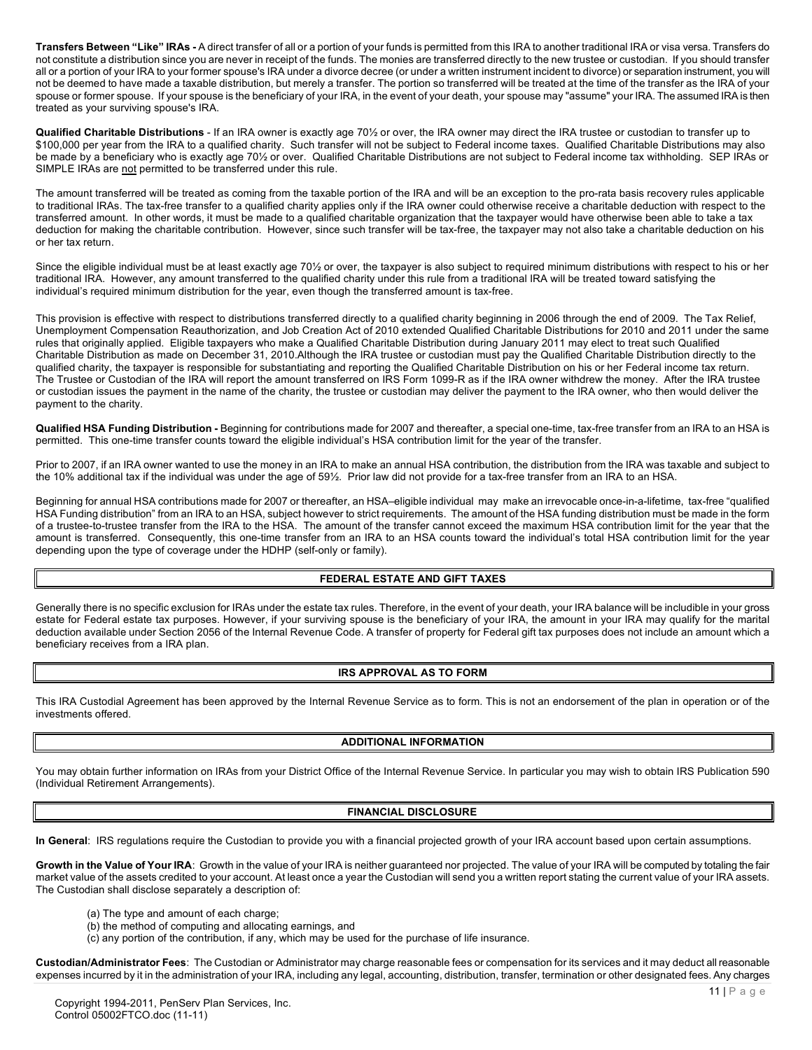**Transfers Between "Like" IRAs -** A direct transfer of all or a portion of your funds is permitted from this IRA to another traditional IRA or visa versa. Transfers do not constitute a distribution since you are never in receipt of the funds. The monies are transferred directly to the new trustee or custodian. If you should transfer all or a portion of your IRA to your former spouse's IRA under a divorce decree (or under a written instrument incident to divorce) or separation instrument, you will not be deemed to have made a taxable distribution, but merely a transfer. The portion so transferred will be treated at the time of the transfer as the IRA of your spouse or former spouse. If your spouse is the beneficiary of your IRA, in the event of your death, your spouse may "assume" your IRA. The assumed IRA is then treated as your surviving spouse's IRA.

**Qualified Charitable Distributions** - If an IRA owner is exactly age 70½ or over, the IRA owner may direct the IRA trustee or custodian to transfer up to \$100,000 per year from the IRA to a qualified charity. Such transfer will not be subject to Federal income taxes. Qualified Charitable Distributions may also be made by a beneficiary who is exactly age 70½ or over. Qualified Charitable Distributions are not subject to Federal income tax withholding. SEP IRAs or SIMPLE IRAs are not permitted to be transferred under this rule.

The amount transferred will be treated as coming from the taxable portion of the IRA and will be an exception to the pro-rata basis recovery rules applicable to traditional IRAs. The tax-free transfer to a qualified charity applies only if the IRA owner could otherwise receive a charitable deduction with respect to the transferred amount. In other words, it must be made to a qualified charitable organization that the taxpayer would have otherwise been able to take a tax deduction for making the charitable contribution. However, since such transfer will be tax-free, the taxpayer may not also take a charitable deduction on his or her tax return.

Since the eligible individual must be at least exactly age 70½ or over, the taxpayer is also subject to required minimum distributions with respect to his or her traditional IRA. However, any amount transferred to the qualified charity under this rule from a traditional IRA will be treated toward satisfying the individual's required minimum distribution for the year, even though the transferred amount is tax-free.

This provision is effective with respect to distributions transferred directly to a qualified charity beginning in 2006 through the end of 2009. The Tax Relief, Unemployment Compensation Reauthorization, and Job Creation Act of 2010 extended Qualified Charitable Distributions for 2010 and 2011 under the same rules that originally applied. Eligible taxpayers who make a Qualified Charitable Distribution during January 2011 may elect to treat such Qualified Charitable Distribution as made on December 31, 2010.Although the IRA trustee or custodian must pay the Qualified Charitable Distribution directly to the qualified charity, the taxpayer is responsible for substantiating and reporting the Qualified Charitable Distribution on his or her Federal income tax return. The Trustee or Custodian of the IRA will report the amount transferred on IRS Form 1099-R as if the IRA owner withdrew the money. After the IRA trustee or custodian issues the payment in the name of the charity, the trustee or custodian may deliver the payment to the IRA owner, who then would deliver the payment to the charity.

**Qualified HSA Funding Distribution -** Beginning for contributions made for 2007 and thereafter, a special one-time, tax-free transfer from an IRA to an HSA is permitted. This one-time transfer counts toward the eligible individual's HSA contribution limit for the year of the transfer.

Prior to 2007, if an IRA owner wanted to use the money in an IRA to make an annual HSA contribution, the distribution from the IRA was taxable and subject to the 10% additional tax if the individual was under the age of 59½. Prior law did not provide for a tax-free transfer from an IRA to an HSA.

Beginning for annual HSA contributions made for 2007 or thereafter, an HSA–eligible individual may make an irrevocable once-in-a-lifetime, tax-free "qualified HSA Funding distribution" from an IRA to an HSA, subject however to strict requirements. The amount of the HSA funding distribution must be made in the form of a trustee-to-trustee transfer from the IRA to the HSA. The amount of the transfer cannot exceed the maximum HSA contribution limit for the year that the amount is transferred. Consequently, this one-time transfer from an IRA to an HSA counts toward the individual's total HSA contribution limit for the year depending upon the type of coverage under the HDHP (self-only or family).

#### **FEDERAL ESTATE AND GIFT TAXES**

Generally there is no specific exclusion for IRAs under the estate tax rules. Therefore, in the event of your death, your IRA balance will be includible in your gross estate for Federal estate tax purposes. However, if your surviving spouse is the beneficiary of your IRA, the amount in your IRA may qualify for the marital deduction available under Section 2056 of the Internal Revenue Code. A transfer of property for Federal gift tax purposes does not include an amount which a beneficiary receives from a IRA plan.

#### **IRS APPROVAL AS TO FORM**

This IRA Custodial Agreement has been approved by the Internal Revenue Service as to form. This is not an endorsement of the plan in operation or of the investments offered.

#### **ADDITIONAL INFORMATION**

You may obtain further information on IRAs from your District Office of the Internal Revenue Service. In particular you may wish to obtain IRS Publication 590 (Individual Retirement Arrangements).

#### **FINANCIAL DISCLOSURE**

**In General**: IRS regulations require the Custodian to provide you with a financial projected growth of your IRA account based upon certain assumptions.

**Growth in the Value of Your IRA**: Growth in the value of your IRA is neither guaranteed nor projected. The value of your IRA will be computed by totaling the fair market value of the assets credited to your account. At least once a year the Custodian will send you a written report stating the current value of your IRA assets. The Custodian shall disclose separately a description of:

- (a) The type and amount of each charge;
- (b) the method of computing and allocating earnings, and
- (c) any portion of the contribution, if any, which may be used for the purchase of life insurance.

**Custodian/Administrator Fees**: The Custodian or Administrator may charge reasonable fees or compensation for its services and it may deduct all reasonable expenses incurred by it in the administration of your IRA, including any legal, accounting, distribution, transfer, termination or other designated fees. Any charges